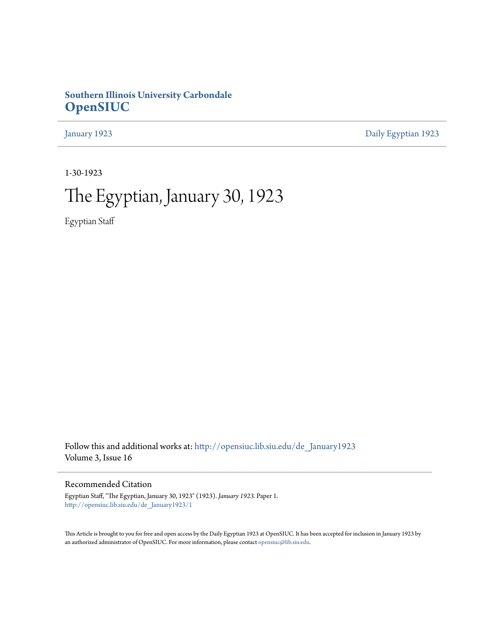# **Southern Illinois University Carbondale [OpenSIUC](http://opensiuc.lib.siu.edu?utm_source=opensiuc.lib.siu.edu%2Fde_January1923%2F1&utm_medium=PDF&utm_campaign=PDFCoverPages)**

[January 1923](http://opensiuc.lib.siu.edu/de_January1923?utm_source=opensiuc.lib.siu.edu%2Fde_January1923%2F1&utm_medium=PDF&utm_campaign=PDFCoverPages) [Daily Egyptian 1923](http://opensiuc.lib.siu.edu/de_1923?utm_source=opensiuc.lib.siu.edu%2Fde_January1923%2F1&utm_medium=PDF&utm_campaign=PDFCoverPages)

1-30-1923

# The Egyptian, January 30, 1923

Egyptian Staff

Follow this and additional works at: [http://opensiuc.lib.siu.edu/de\\_January1923](http://opensiuc.lib.siu.edu/de_January1923?utm_source=opensiuc.lib.siu.edu%2Fde_January1923%2F1&utm_medium=PDF&utm_campaign=PDFCoverPages) Volume 3, Issue 16

Recommended Citation

Egyptian Staff, "The Egyptian, January 30, 1923" (1923). *January 1923.* Paper 1. [http://opensiuc.lib.siu.edu/de\\_January1923/1](http://opensiuc.lib.siu.edu/de_January1923/1?utm_source=opensiuc.lib.siu.edu%2Fde_January1923%2F1&utm_medium=PDF&utm_campaign=PDFCoverPages)

This Article is brought to you for free and open access by the Daily Egyptian 1923 at OpenSIUC. It has been accepted for inclusion in January 1923 by an authorized administrator of OpenSIUC. For more information, please contact [opensiuc@lib.siu.edu.](mailto:opensiuc@lib.siu.edu)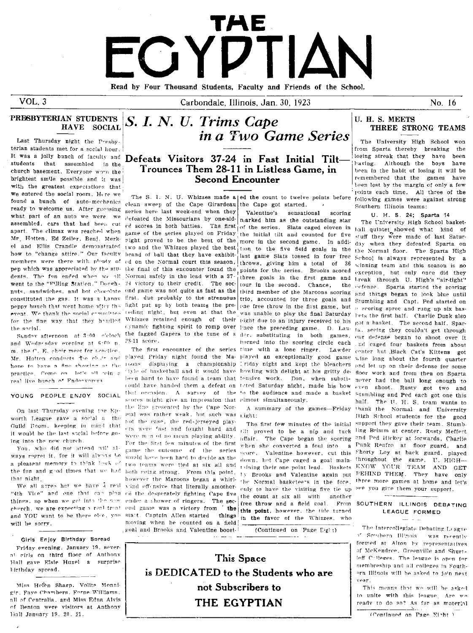# FGYDTIAN

Read by Four Thousand Students, Faculty and Friends of the School.

 $VOL.3$ 

Carbondale, Illinois, Jan. 30, 1923

No. 16

#### PRESBYTERIAN STUDENTS S. I. N. U. Trims Cape HAVE SOCIAL

Last Thursday night the Presbyterian students met for a social hour. students that assembled in the church basement. Everyone wore the brightest smile possible and it was with the greatest expectations that we entered the social room. Here we found a bunch of auto-mechanics ready to welcome us. After guessing what part of an auto we were we assembled, cars that had been cut apart. The climax was reached when Mr. Hotten, Ed Zeiler, Benj. Merkel and Ellis Crandle demonstrated how to "change attire." Our faculty members were there with plouty of nen which was annreciated by the students. The fun ended when we all went to the "Filling Station." Donghnuts, sandwiches, and hot chocolate constituted the gas. It was a hanny first, due probably to the strenuous trio, accounted for three goals and Stumbling and Capt. Ped started on peppy bunch that went home after the fight put up by both teams the pre- one free throw in the first game, but a scoring spree and rung up six basevent. We thank the social committee. for the fine way that they boulded Whizzes retained enough of their pight due to an injury received to his got a basket. The second half, Sparthe social.

and Wednesday evening at 6:00 p. m. the C. E. choir meet for beactice Mr. Hotten conducts the chair and hope to have a fine showing or the practice. Come on let's all toin a real live bunch of Fudeevorers

# YOUNG PEOPLE ENJOY SOCIAL

On last Thursday evening the Epworth League gave a social a the Guild Room, keeping in mind that it would be the last social before going into the new church.

You, who did not attend will always regret it, for it will always be a pleasant memory to think back of the fun and good times that we had both coing strong. From this point, that night.

"the Vice" and one that can plan cd the desperately fighting Cape five the count at six all with another things, so when we get into the new ender a shower of ringers. The secchurch, we are expecting a real treat end game was a victory from ' the this point, however, the tide turned and YOU want to be there else, you will be sorry.

#### Girls Enjoy Birthday Spread

Friday evening, January 19, severat girls on third floor of Anthony Hall gave Elsie Huxel a surprise lirthday spread.

Miss Hefen Sharp, Volita Monnigir, Faye Chambers, Forne Williams, all of Centralia, and Miss Edna Alvis of Benton were visitors at Anthony Hall January 19, 20, 21.

# It was a jolly bunch of faculty and Defeats Visitors 37-24 in Fast Initial Tilt Trounces Them 28-11 in Listless Game, in **Second Encounter**

clean sweep of the Cape Girardeau the Cape got started. series here last week-end when they defeated the Missourians by one-sidreflexores in both battles. The first of the series. Slats caged eleven in hall quintet showed what kind of game of the series played on Friday the initial tilt and counted for five stuff they were made of last Saturright proved to be the best of the more in the second game. In addi-day when they defeated Sparta on two and the Whizzes played the best brand of ball that they have exhibit. last game Slats tossed in four free ed on the Normal court this season, throws, giving him a total of 36 the final of this encounter found the points for the series. Brooks scored exception, but only once did they Normal safely in the lead with a 37-<br>Normal safely in the lead with a 37-<br>three goals in the first game and l-rea 24 victory to their credit. The sec-<br>tour in the second. Chance, the eefense. Sparta started the scoring ond game was not quite as fast as the third member of the Marcons scoring and things began to look blue until teding night, but even at that the was unable to play the final Saturday. Pets the first half. Charlie Dunk also dynamic fighting spirit to romp over linee the preceding game. D. Lau- ia, seeing they couldn't get through Sunday afternoon at 3:00 clock the fagged Gapers to the tune of a der, substituting in both games, our defense began to shoot over it 28-11 score.

scores might give an impression that almost simultaneously. the line presented by the Cape Normal was rather weak, but such was night; not the case, the red-jerseyed play-For the first few minutes of the first game the outcome of the series would have been hard to decide as the two teams were tied at six all and toining their one point lead. Baskets however the Marcons began a whirlethe Normal basketeers in the fore. We all arrea het we have a real vind offensive that literally smother. only to have the visiting five tie up start. Captain Allen started things in the favor of the Whizzes, who moving when he counted on a field poal and Brooks and Valentine boost-

in a Two Game Series

Valentine's sensational scoring narked him as the outstanding star

The first few minutes of the initial ers were 'ast and fought hard and tilt proved to be a nip and tuck ling Brimm at center. Rusty Meffert were man of no mean playing ability. affair. The Cape began the scoring when she converted a foul into a score. Valentine however, cut this Shorty Loy at back guard, played down, but Cape caged a goal mainly Brooks and Valentine again put free throw and a field goal.

(Continued on Page Eight)

## U. H. S. MEETS THREE STRONG TEAMS

The University High School won from Sparta thereby breaking the losing streak that they have been having. Although the boys have been in the habit of losing it will be remembered that the games have been lost by the margin of only a few points each time. All three of the The S. I. N. U. Whizzes made a|ed the count to twelve points before following games were against strong Southern Illinois teams:

U. H. S. 24; Sparta 14

The University High School baskettion to the five field goals in the the Normal floor. The Sparta High School is always represented by a winning team and this season is no horned into the scoring circle each and caged four baskets from about The first encounter of the series time with a lone ringer. Lawder center but Black Cat's Kittens got played Friday night found the Ma-played an exceptionally good game wise long about the fourth quarter noons displaying a championship riday night and kept the bleachers and let up on their defense for some tyle of basketball and it would have howling with delight at his gritty de- floor work and from then on Sparta been hard to have found a team that lensive work. Don, when substi- never had the ball long enough to could have handed them a defeat on toted Saturday night, made his bow even shoot. Rusty got two and that occasion. A survey of the to the audience and made a basket stumbling and Ped each got one this The U. H. S. team wants to half. A summary of the games-Friday thank the Normal and University High School students for the good support they gave their team. Stumband Ped Hickey at forwards, Charlie Punk Renfro at floor guard, and throughout the game. U. HIGH-KNOW YOUR TEAM AND GET FEHIND THEM. They have only three more games at home and let's see you give them your support.

#### From SOUTHERN ILLINOIS DEBATING LEAGUE FORMED

The Intercollegiate Debating League <sup>o"</sup> Southern Illinois was recently formed at Alton by representatives of McKendree, Greenville and Shurtleff Colleges. The league is open for membreship and all colleges in Southern Illinois will be asked to join next vear.

This means that we will be asked to unite with this league. Are we ready to do so? As far as material

(Continued on Page Eight )

This Space is DEDICATED to the Students who are not Subscribers to THE EGYPTIAN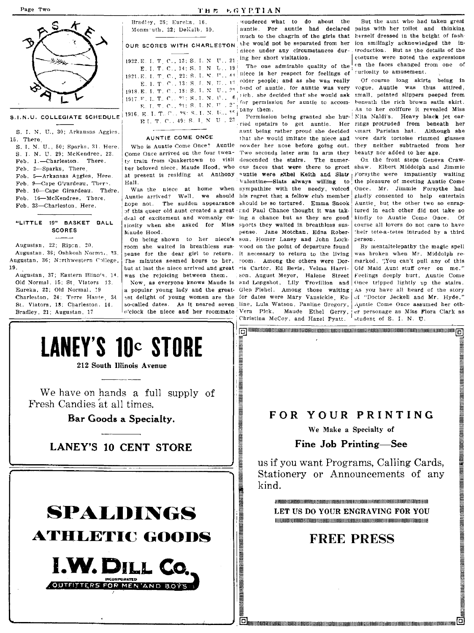

#### S.I.N.U. COLLEGIATE SCHEDULE

S. I. N. U., 30; Arkansas Aggies, 15. There. S. I. N. U., 50; Sparks, 31. Here. S. I. N. U. 29; McKendree, 22. Feb. 1.-Charleston. There. Feb. 2-Sparks, There. Feb. 5-Arkansas Azgies, Here. Feb. 9-Cape Girardeau. There. Feb. 10-Cape Girardeau. There. Feb. 16-McKendree, There. Feb. 23-Charleston, Here. "LITTLE 19" BASKET BALL **SCORES** Augustan, 22; Ripon, 20.

Augustan, 36; Oshkosh Norma, 23. Augustan, 36; Northwestern College, 19. Augustan, 37; Eastern Illinois, 14.

Old Normal, 15; St. Viators 13. Eureka, 22; Old Normal, 19 Charleston, 24; Terre Haute, 34 St. Viators, 18; Charleston, 14. Bradley, 21; Augustan, 17

#### Bradley, 26; Eureha, 16. Monmouth, 22; DeKalb, 10. OUR SCORES WITH CHARLESTON 1922. E. I. T. C., 13; S. I. N. U., 21 E. I. T. C., 14; S. I. N. U., 19 1921.E. I. T. C., 22: S. I. N. U., 44 E. I. T. C., 13: S. I. N. U., 17 1918.E. I. T. C., 18: S. I. N. U.,  $2^{\circ}$ 1917. F. L. T. C., 21: S. L. N. U., 6 E. I. T. C., 21: S. I. N. U., 27 1916. E. I. T. C., 98: S. I. N. U., 15 E.I. T. C., 49: S. I. N. U., 23

#### AUNTIE COME ONCE

Come Once arrived on the four twenher beloved niece, Maude Hood, who at present is residing at Anthony Hall.

Maude Hood.

was the rejoicing between them.

a popular young lady and the greatso-called dates. As it neared seven c'clock the niece and her roommate

wondered what to do about the ing her short visitation.

The one admirable quality of the niece is her respect for feelings of older people; and as she was really fond of auntie, for auntie was very rich, she decided that she would ask small, pointed slippers peeped from for permission for auntie to accompany them.

ried upstairs to get auntie. Her aunt being rather proud she decided that she would imitate the niece and Who is Auntie Come Once? Auntie nowder her nose before going out. Two seconds later arm in arm they ty train from Quakertown to visit descended the stairs. The numercus faces that were there to greet auntie were sthel Keith and Slats Forsythe were impatiently waiting Valentine-Slats always willing to Was the niece at home when sympathize with the needy, voiced Auntie arrived? Well, we should his regret that a fellow club member hope not. The sudden appearance should be so tortured. Emma Snook of this queer old aunt created a great and Paul Chance thought it was takdeal of excitement and womanly cu- ing a chance but as they are good tiosity when she asked for Miss sports they waited in breathless suspense. Jane Motchan, Edna Rober-On being shown to her niece's son, Homer Laney and John Lockroom she waited in breathless sus- wood on the point of departure found pense for the dear girl to return. it necessary to return to the living The minutes seemed hours to her, room. Among the others were Dorbut at last the niece arrived and great ris Cartor, Ed Bevis, Velma Harrison, August Meyer, Halene Street Now as everyone knows Maude is and Longshot, Lily Trovillion and est delight of young women are the for dates were Mary Vansickle, Euline, Lula Watson, Pauline Gregory, Vera Pick, Maude Ethel Gerry, Christina McCoy, and Hazel Pyatt.

But the aunt who had taken great auntie. For auntie had declared pains with her toilet and thinking much to the chagrin of the girls that herself dressed in the height of fashshe would not be separated from her ion smilingly acknowledged the inniece under any circumstances dur- troduction. But as the details of the costume were noted the expressions on the faces changed from one of curiosity to amusement.

Of course long skirts being in vogue. Auntie was thus attired. beneath the rich brown satin skirt. As to her coiffure it revealed Miss Permission being granted she hur- Nita Naldi's. Heavy black jet earrings protruded from beneath her smart Parisian hat. Although she wore dark tortoise rimmed glasses they neither subtracted from her beauty nor added to her age.

> On the front steps Geneva Crawshaw. Elbert Middolph and Jimmie the pleasure of meeting Auntie Come Once. Mr. Jimmie Forsythe had gladly consented to help entertain Auntie, but the other two so enraptured in each other did not take so kindly to Auntie Come Once. Of course all lovers do not care to have their tete-a-tetes intruded by a third person.

By mentaltelepathy the magic spell was broken when Mr. Middolph remarked, "You can't pull any of this Old Maid Aunt stuff over on me." Feelings deeply hurt. Auntie Come Once tripped lightly up the stairs. Glen Fishel. Among those waiting as you have all heard of the story of "Doctor Jeckell and Mr. Hyde." Auntie Come Once assumed her other personage as Miss Flora Clark as student of S. I. N. U.

A SILTAN SINASTINGO SI SANG SA TANGGAN SI SA TANGGAN SI SA TANGGAN SI SA TANGGAN SI SA TANGGAN SI SA TAGAN SI SA TAGA

**LANEY'S 10c STORE** 

212 South Illinois Avenue

We have on hands a full supply of Fresh Candies at all times.

Bar Goods a Specialty.

# **LANEY'S 10 CENT STORE**



# FOR YOUR PRINTING

[6] The control to the control of the control of the control of the control of the control of the control of the control of the control of the control of the control of the control of the control of the control of the cont

We Make a Specialty of

#### Fine Job Printing-See

us if you want Programs, Calling Cards, Stationery or Announcements of any kind.

A IN THE RECENT OF REPORT OF A RELEASED FOR THE RELEASED FOR THE RELEASED FOR THE RELEASED FOR THE UNIT OF THE RELEASED LET US DO YOUR ENGRAVING FOR YOU 

# **FREE PRESS**

**TERNET DI RENETTI EDIGI ILITERETTI ILITERET ILITERET DI REGISTERE DI LITERE DI REGISTERE DI LIGERATO DI REGIST** 

THE EGYPTIAN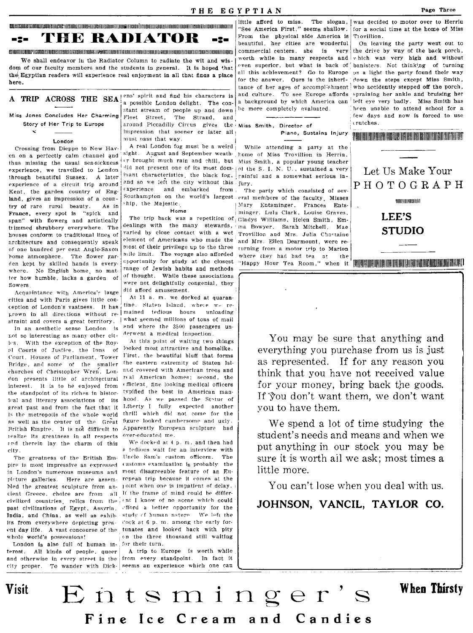**CONSUMENTARIO CON CONTENTARIO CON DE CONVENTION DE CONSUMENTARIO CON CONTENTARIO CON CONTENTARIO CON CONVENTIO** THE RADIATOR  $= 2$ n2a

We shall endeavor in the Radiator Column to radiate the wit and wisdom of our faculty members and the students in general. It is hoped that the Egyptian readers will experience real enjoyment in all that finds a place here.

# A TRIP ACROSS THE SEA ens' spirit and find his characters is

Miss Jones Concludes Her Charming Story of Her Trip to Europe

#### London

×.

Crossing from Dieppe to New Haven on a perfectly calm channel and thus missing the usual sea-sickness experience, we travelled to London through beautiful Sussex. A later experience of a circuit trip around Kent, the garden country of England, gives an impression of a country of rare rural beauty. As in France, every spot is "spick and span" with flowers and artistically trimmed shrubbery everywhere. The houses conform to traditional lines of architecture and consequently speak of one hundred per cent Anglo-Saxon home atmosphere. The flower garden kept by skilled hands is everywhere. No English home, no matter how humble, lacks a garden of flowers

Acquaintance with America's lange cities and with Paris gives little concention of London's vastness. It has grown in all directions without re- mained tedious hours unloading straint and covers a great territory. | what seemed millions of tons of mail

In an aesthetic sense London is not so interesting as many other citics. With the exception of the Royal Courts of Justice, the Inns of Court. Houses of Parliament. Tower Bridge, and some of the smaller churches of Christopher Wren, London presents little of architectural real American homes; second, the interest. It is to be enjoyed from the standpoint of its riches in historical and literary associations of its great past and from the fact that it is the metropolis of the whole world as well as the center of the Great British Empire. It is not difficult to Apparently European sculpture had realize its greatness in all respects over-educated me. and therein lay the charm of this city.

pire is most impressive as expressed (ustoms examination is probably the in London's numerous museums and most disagreeable feature of an Eupicture galleries. Here are assembled the greatest sculpture from an- joint when one is impatient of delay. cient Greece, choice are from all If the frame of mind could be differcivilized countries, relics from the int I know of no scene which could past civilizations of Egypt, Assyria, India, and China, as well as exhibits from everywhere depicting pres- clock at 6 p.m. among the early forent day life. A vast concourse of the tunates and looked back with pity whole world's possessions!

London is also full of human interest. All kinds of people, queer and otherwise in every street in the city proper. To wander with Dick-

a possible London delight. The constant stream of people up and down Fleet Street, The Strand, and around Piccadilly Circus gives the Miss Smith, Director of impression that sooner or later all 1 must pass that way.

A real London fog must be a weird sight. August and September weath home of Miss Trovillion in Herrin, er brought much rain and chill, but Miss Smith, a popular young teacher did not present one of its most dom- | of the S. I. N. U., sustained a very inant characteristics, the black fog, rainful and a somewhat serious inand so we left the city without this jury.  $\epsilon$ xperience and embarked from Southampton on the world's largest eral members of the faculty, Misses ship, the Majestic.

#### Home

dealings with the many stewards, ma Bowyer, Sarah Mitchell, Mae varied by close contact with a wet Trovillion and Mrs. Julia Chastaine element of Americans who made the most of their privilege up to the three mile limit. The voyage also afforded opportunity for study at the closest range of Jewish habits and methods of thought. While these associations were not delightfully congenial, they did afford amusement

At 11 a. m. we docked at quarantine. Staten Island, where we reand where the 3500 passengers underwent a medical inspection.

At this point of waiting two things looked most attractive and homelike. First, the beautiful bluff that forms the eastern extremity of Staten Island covered with American trees and «fficient fine looking medical officers typified the best in American manhood. As we passed the Statue of Liberty I fully expected another thrill which did not come for the figure looked cumbersome and ugly.

We docked at 4 p.m. and then had a tedious wait for an interview with The greatness of the Eritish Em. Uncle Sam's custom officers. The ropean trip because it comes at the efford a better opportunity for the study of human nature. We left the on the three thousand still waiting for their turn.

> A trip to Europe is worth while from every standpoint. In fact it seems an experience which one can

"See America First," seems shallow. From the physical side America is beautiful, her cities are wonderful commercial centers, she is very worth while in many respects and even superior, but what is back of all this achievement? Go to Europe for the answer. Ours is the inheri $t$ ance of her ages of accomplishment and culture. To see Europe affords a background by which America can he more completely evaluated.

Piano, Sustains Injury

While attending a party at the

The party which consisted of sev-Mary Entsminger, Frances Entsminger, Lulu Clark, Louise Graves, The trip back was a repetition of Gladys Williams, Helen Smith, Emand Mrs. Ellen Dearmount, were returning from a motor trip to Marion where they had had tea at the 



On leaving the party went out to the drive by way of the back porch, which was very high and without banisters. Not thinking of turning on a light the party found their way down the steps except Miss Smith, who accidently stepped off the porch. spraining her ankle and bruising her left eye very badly. Miss Smith has been unable to attend school for a few days and now is forced to use crutches.

<u>AND LONDON DE CONTRADICIONAL DE CONTRACTO DE CONTRACTO DE CONTRACTO DE CONTRACTO DE CONTRACTO DE CONTRACTO DE C</u>

Let Us Make Your PHOTOGRAPH **MEDIEN IN NORTHERNE** LEE'S **STUDIO** 

You may be sure that anything and everything you purchase from us is just as represented. If for any reason you think that you have not received value for your money, bring back the goods. If you don't want them, we don't want you to have them.

We spend a lot of time studying the student's needs and means and when we put anything in our stock you may be sure it is worth all we ask; most times a little more.

You can't lose when you deal with us.

# JOHNSON, VANCIL, TAYLOR CO.



# **When Thirsty**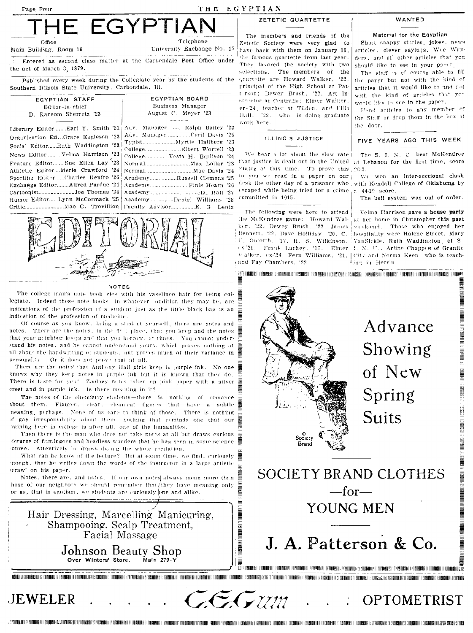

Entered as second class matter at the Carbondale Post Office under the act of March 3, 1879.

Published every week during the Collegiate year by the students of the Southern Illinois State University, Carbondale, Ill.

| EGYPTIAN STAFF                                                    | EGYPTIAN BOARD             |  |
|-------------------------------------------------------------------|----------------------------|--|
| Editor-in-chief                                                   | Business Manager           |  |
| D. Ransom Sherretz '23                                            | August C. Meyer '23        |  |
|                                                                   |                            |  |
| Literary Editor Earl Y. Smith '21   Adv. Manager Ralph Bailey '23 |                            |  |
|                                                                   |                            |  |
|                                                                   |                            |  |
| Social EditorRuth Waddington '23                                  |                            |  |
| News EditorVelma Harrison '23                                     |                            |  |
| Feature EditorSue Ellen Lay <sup>5</sup> 23                       |                            |  |
| Athletic EditorMerle Crawford '24                                 |                            |  |
| Sporting EditorCharles Renfro '26!                                | AcademyRussell Clemens '25 |  |
| Exchange EditorAlfred Purdue '24                                  |                            |  |
| CartoonistJoe Thomas '24                                          |                            |  |
| Humor EditorLynn McCormack '25                                    | AcademyDaniel Williams '28 |  |
|                                                                   |                            |  |



#### NOTES

The college man's note book vies with his vaselineo hair for being collegiate. Indeed those note books, in whatever condition they may be, are indications of the profession of a student just as the little black bag is an indication of the profession of medicine.

Of course as you know, being a student yearself, there are notes and notes. There are the notes, in the first place, that you keep and the notes that your neighbor keeps and that you because at times. You cannot understand his notes, and he cannot understand yours, which proves nothing at all abour the handwriting of students, out proves much of their variance in personality. Or it does not prove that at all.

There are the notes that Anthony Hall girls keep in purple ink. No one knows why they keep notes in purple ink but it is known that they do. There is taste for yeu! Zoology netes taken on pink paper with a silver crest and in purple ink. Is there meaning in it?

The notes of the chemistry students-there is nothing of romance about them. Figures, clear, clean-cut figures that have a subtle neaning, perhaps. None of us care to think of those. There is nothing of gay irresponsibility about them. Lothing that reminds one that our raining here in college is after all, one of the humanities.

Then there is the man who does not take notes at all but draws curious detures of flamingoes and headless wonders that he has seen in some science ourse. Attentively he draws during the whole recitation.

What can be know of the lecture? But at exam time, we find, curiously mough, that he writes down the words of the instructor in a large artistic scrawl on his paper.

Notes, there are, and notes. If our own noted always mean more than hose of our neighbors we should remember that they have meaning only or us, that in egotism, we students are curiously one and alike.



**JEWELER** 

ZETETIC QUARTETTE

The members and friends of the Zetetic Society were very glad to have back with them on January 19. the famous quartette from last year. They favored the society with two The members selections.  $0<sup>2</sup>$ the grartette are Howard Walker, '22, principal of the High School at Patt rson; Dewey Brush, '22, Art Instructor at Centralia; Elmer Walker. er-'24, teacher at Tilden, and Uilla Hall.  $22.$ who is doing graduate work here.

#### ILLINOIS JUSTICE

 $, 22$ 

 $25$ 

 $'23$ 

 $\cdot$ 24

 $192$ 

 $24$ 

 $.96$ 

We hear a lot about the slow rate States at this time. To prove this 26-3. to you we read in a paper on our escaped while being tried for a crime committed in 1015.

The following were here to attend the McKendree game: Howard Walher. 22. Dewey Brush, 22. James Valker, ex-24, Fern Williams, '21, 1 and Fay Chambers, '22.

WANTED

#### Material for the Egyptian

Short snappy steries, jokes, news articles, clever sayings, Wee Wunders, and all other articles that you should like to see in your pancr

The staff is of course able to fill the paper but not with the kind of articles that it would like to and not with the kind of articles that you would like to see in the paper.

Find articles to any member of the Staff or drop them in the box at the door.

#### FIVE YEARS AGO THIS WEEK

The S. I. N. U. beat McKendree that justice is dealt out in the United at Lehanon for the first time, score

won an inter-sectional clash  $V_{\rm eff}$ desk the other day of a prisoner who with Kendall College of Oklahoma by 44-19 score.

The bell system was out of order.

Velma Harrison gave a house party at her home in Christopher this past week-end. Those who enjoyed her Bennett, '22, Dave Holliday, '20, C. hospitality were Halene Street, Mary Goforth, '17, H. S. Wilkinson, VanSickle, Ruth Waddington, of S. (x-21. Frank Lachey, '17, Elmer J. N. U., Arline Chapped of Granite City and Norma Keen, who is teaching in Herrin.

WANDADDONARRARDDARAN ARRAHASIDRANASANYA SANTISIRIN SANTA SANTA KANAN SANDAN MUHAMMAN SANTIN DAN MUHAMMAN SANTA

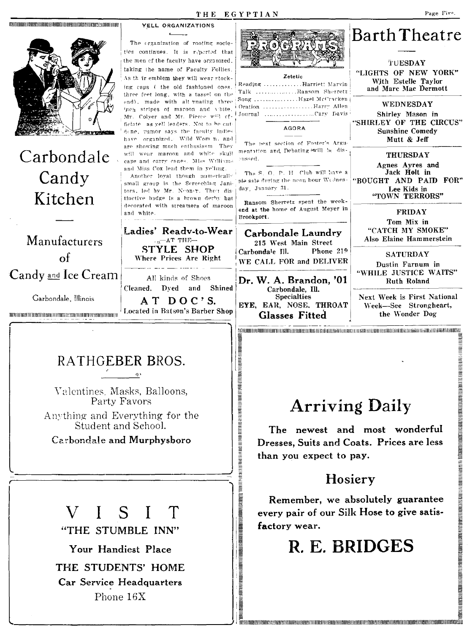

Your Handiest Place

THE STUDENTS' HOME Car Service Headquarters Phone 16X

# R. E. BRIDGES

 $\overline{p}$ ונסואופומינושומות הספורות המוסדות המוסדות המוסדות הספורות הספורות המוסדות המוסדות הספורות הספורות המוסדות הספו

**UNDER AN DER EINE EINER EINER EINER EINER EINER EINER EINER EINER EINER EINER EINER EINER EINER EINER EINER EINER EINER EINER EINER EINER EINER EINER EINER EINER EINER EINER EINER EINER**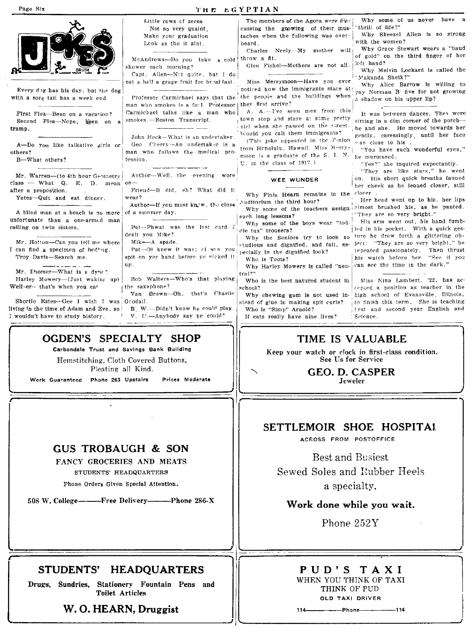#### Page Six  $T_H E E G Y P T I A N$

|                                            | Little rows of zeros                    | The members of the Agora were dis-                                   | Why some of us never have a                                          |
|--------------------------------------------|-----------------------------------------|----------------------------------------------------------------------|----------------------------------------------------------------------|
|                                            | Not so very quaint,                     | cussing the growing of their mus-                                    | thrill of life?"                                                     |
|                                            | Make your graduation                    | taches when the following was over-                                  | Why Skeezel Allen is so strong                                       |
|                                            | Leok as tho it aint.                    | heard.                                                               | with the women?                                                      |
|                                            |                                         | Charles Neely-My mother will!                                        | Why Grace Stewart wears a "band                                      |
|                                            | McAndrews-Do you take a cold!           | throw a fit.                                                         | of gold" on the third finger of her                                  |
|                                            | shower each morning?                    | Glen Fishel--Mothers are not all.                                    | left hand?                                                           |
|                                            | Capt. Allen-Not quite, but I do         |                                                                      | Why Melvin Lockard is called the                                     |
|                                            | eat a half a grape fruit for breakfast. | Miss Merrymoon-Have you ever                                         | "Makanda Sheik?"                                                     |
|                                            |                                         | noticed how the immigrants stare at                                  | Why Alice Barrow is willing to                                       |
| Every dog has his day, but the dog         |                                         | Professor Carmichael says that the the people and the buildings when | pay Norman B five for not growing                                    |
| with a sore tail has a week end            | man who smokes is a forl. Professor     | they first arrive?                                                   | a shadow on his upper lip?                                           |
|                                            |                                         | A. A.-I've seen men from this                                        |                                                                      |
| First Flea-Been on a vacarion?             | Carmichael talks like a man who         | town stop and stare at some pretty                                   | It was between dances. They were                                     |
| Second Flea-Nope, been on a                | smokes.-Boston Transcript.              | sirl when she passed on the street.                                  | sitting in a dim corner of the porch-                                |
| tramp.                                     |                                         | Would you call them immigrants?                                      | he and she. He moved towards her                                     |
|                                            | John Heck-What is an undertaker.        | (This joke appeared in the Pinion                                    | gently, caressingly, until her face                                  |
| A-Do you like talkative girls or           | Geo Cherry - An undertaker is a         | from Henolulu, Hawaii, Miss Merry-                                   | was close to his.                                                    |
| others?                                    | man who follows the medical pro-        | moon is a graduate of the S. L. N.                                   | "You have such wonderful eyes,"                                      |
| B-What others?                             | fession.                                | U. in the class of 1917.)                                            | he murmured.<br>"Yes?" she inquired expectantly.                     |
|                                            |                                         |                                                                      | "They are like stars," he went                                       |
| Mr. Warren---- (to 4th hour Geometry       | Author-Well, the evening wore           |                                                                      | on. His short quick breaths fanned                                   |
| $class$ $-$ What Q. E. D. mean $on$ $-$    |                                         | WEE WUNDER                                                           | her cheek as he leaned closer, still                                 |
| after a proposition.                       | Friend-It did, eh? What did it          |                                                                      | closer .                                                             |
| Yates-Quit and eat dinner.                 | wear?                                   | Why Finis Hearn remains in the                                       | Her head went up to his, her lips                                    |
|                                            | Author-If you must knew, the close      | Auditorium the third hour?                                           | Why some of the teachers assign almost brushed his, as he panted.    |
| A blind man at a beach is no more          | of a summer day.                        |                                                                      | "They are so very <b>bright."</b>                                    |
| unfortunate than a one-armed man           |                                         | such long lessons?                                                   | His arm went out, his hand fumb-                                     |
| calling on twin sisters.                   | Pat-Phwat was the last card J           | Why some of the boys wear "tod-<br>dle tux" trousers?                | led in his pocket. With a quick ges-                                 |
|                                            | dealt you Mike?                         | Why the Seniors try to look so                                       | ture he drew forth a glittering ob-                                  |
| Mr. Hotton-Can you tell me where           | Mike-A spade.                           | studious and dignified, and fail, es-                                | ject: "They are so very bright," he                                  |
| I can find a specimen of bedbug.           | Pat-Oi knew it was; cl saw you          | pecially in the dignified look?                                      | repeated passionately. Then thrust                                   |
| Troy Davis-Search me.                      | spit on yer hand before ye nicked it    | Who is Toots?                                                        | his watch before her. "See if you                                    |
|                                            | up.                                     | Why Harley Mowery is called "neu- can see the time in the dark."     |                                                                      |
| Mr. Ebomer-What is a dyne?                 |                                         | tral?"                                                               |                                                                      |
| Harley Mowery-(Just waking up)             | Bob Walters-Who's that playing          | Who is the best natured student in                                   | Miss Nina Lambert. '22, has ac-                                      |
| Well-er-- that's when you eat              | the saxaphone?                          | school?                                                              | cepted a position as teacher in the                                  |
|                                            | Van Brown-Oh, that's Charlie            |                                                                      | Why chewing gum is not used in- high school of Evansville. Illinois, |
| Shortie Estes-Gee I wish I was Goodall.    |                                         | stead of glue in making spit curls?                                  | to finish this term. She is teaching                                 |
| living in the time of Adam and Eve, so !   | B. W.-Didn't know he could play.        | Who is "Simp" Arnold?                                                | frst and second year English and                                     |
| I wouldn't have to study history.          | V. E.-Anyhody say he could?             | If cats really have nine lives?                                      | : Science.                                                           |
|                                            |                                         |                                                                      |                                                                      |
|                                            |                                         |                                                                      |                                                                      |
| OGDEN'S SPECIALTY SHOP                     |                                         | TIME IS VALUABLE                                                     |                                                                      |
| Carbondale Trust and Savings Bank Building |                                         |                                                                      |                                                                      |
|                                            |                                         |                                                                      | Keep your watch or clock in first-class condition.                   |
| Hemstitching, Cloth Covered Buttons,       |                                         | See Us for Service                                                   |                                                                      |

I

Pleating all Kind,

Work Guaranteed Phone 263 Upstairs Prices Moderate

# GUS TROBAUGH & SON

#### FANCY GROCERIES AND MEATS

STUDENTS' HEADQUARTERS

Phone Orders Given Special Attention.

508 W. College----------Free Delivery----------Phone 286-X

# STUDENTS' HEADQUARTERS

Drugs, Sundries, Stationery Fountain Pens and Toilet Articles

w. O. HEARN, Druggist

,------------------------------------------------~I

GEO. D. CASPER Jeweler

# SETTLEMOIR SHOE HOSPITAl.

ACROSS FROM POSTOFFICE

Best and Busiest Sewed Soles and Enbber Heels a specialty.

# Work done while you wait.

Phone 252Y

# P U D'S T A X I WHEN YOU THINK OF TAXI THINK OF PUD

OLD TAXI DRIVER

1144------Phone-----114

J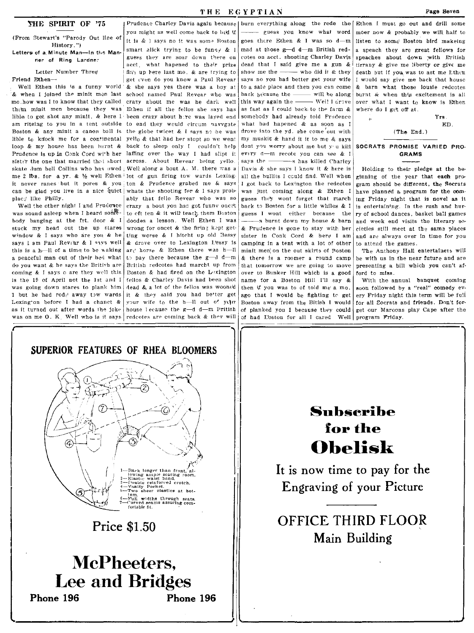#### THE SPIRIT OF '75

(From Stewart's "Parody Out line of History.") Letters of a Minute Man-In the Man-

ner of Ring Lardner

Letter Number Three Friend Fiben-

& when I joined the minit men last mo.how was I to know that they called crazy about me was he dark well them minit men because they was Ethen if all the fellos she says has lible to get shot any minit, & here I been crazy about here was layed end am riteing to you in a tent outside Boston & any minit a canon ball is lible to knock me for a continental yello  $\&$  that had her stopt so we went loop & my house has been burnt & Prudence is up in Conk Cord with her laffing over the way I had slipt it sister the one that married that short skate dum hell Collins who has uwed: Well along a bout A. M. there was a me 2 lbs. for a yr. & 1/2 well Ethen lot of gun firing tow wards Lexingit never ranes but it pores & you ton & Prudence grabed me & says can be glad you live in a nice quiet place like Philly.

Well the other night I and Prudence was sound asleep when I heard song. body banging at the frt. door & I stuck my head out the up stares window  $\&$  I says who are you  $\&$  he says I am Paul Reviar & I anys well this is a hell of a time to be waking a peaceful man out of their bed what do you want & he says the British are coming & I says o are they well this is the 19 of April not the 1st and I was going down stares to plank him 1 but he had rods away tow wards Lexington before I had a chanct & as it turned out after words the joke was on me O. K. Well who is it says

Prudence Charley Davis again because | burn everything along the rode the | Ethen I must go out and drill some you might as well come back to bed if it is & I says no it was some Boston smart alick trying to be funny & I guess they are soar down there on acct, what hapened to their prize fish up bere last mo. & are trying to get tven do you know a Paul Revear Well Ethen this is a funny world & she says yes there was a boy at school named Paul Revear who was to end they would circum navygate the globe twicet & I says no be was back to sleep only I couldn't help across. About Revear being yello. whats the shooting for  $\&$  I says probably that fello Revear who was so crazy a bout you has got funny oncet to oft ten & it will teach them Buston doodes a lesson. Well Ethen I was wrong for oncet & the firing kept getting worse & I hitcht up old Bessy & drove over to Lexington Pessy is ars' horse & Ethen there was h-Il to pay there because the  $g-d$  d-m British redcotes had marcht up from Boston & had fired on the Lexington fellos & Charley Davis had been shot dead & a lot of the fellos was wooned it & they said you had better get your wife to the h-Il out of your house lecause the g-d d-m Pritish redcotes are coming back & they will

guess you know what word goes there Ethen & I was so d-m mad at those g-d d-m British redcotes on acct. shooting Charley Davis dead that I said give me a gun & show me the  $-$ - who did it & they says no you had better get your wife to a safe place and then you can come - will be along back hecause the this way again the - $-$  Well I drave as fast as I could back to the farm & somebody had already told Pradence what had hapened  $\&$  as soon as I drove into the yd. she come'out with my muskit & hand it it to me & says dont you worry about me but y'u kill every d-m recote you can see & I savs the --s has killed Charley Davis & she says I know it & here is all the bullits I could find. Well when I got back to Lexington the redcotes was just coming along & Ethen I guess they wont forget that march back to Boston for a little whiles & I guess I wont either because the -s burnt down my house & barn & Prudence is gone to stay with her sister in Conk Cord & here I am camping in a tent with a lot of other minit men on the out skirts of Boston & there is a roomer a round camp that tomorrow we are going to move over to Bunker Hill which is a good name for a Boston Hill I'll say & then if you was to of told me'a mo. ago that I would be fighting to get Boston away from the Bitish I would of planked you 1 because they could of had E'oston for all I cared Well program Friday. Page Seven

moer now & probably we will half to listen to some Boston bird makeing a speach they are great fellows for speaches about down with Pritish tirrany & give me liberty or give me death but if you was to ast me Ethen I would say give me back that house & barn what those lousie redcotes burnt  $\&$  when this excitement is all over what I want to know is Ethen where do I get off at.

Yrs ED.  $(The End.)$ 

SOCRATS PROMISE VARIED PRO-**GRAMS** 

Holding to their pledge at the beginning of the year that each program should be different, the Socrats have planned a program for the coming Friday night that is novel as it is entertaining. In the rush and hurry of school dances, basket ball games and week end visits the literary societies still meet at the same places and are always over in time for you to attend the games.

The Anthony Hall entertainers will be with us in the near future and are presenting a bill which you can't afford to miss.

With the annual banquet coming soon followed by a "real" comedy every Friday night this term will be full for all Socrats and friends. Don't forget our Maroons play Cape after the



**Price \$1.50** 

# McPheeters. **Lee and Bridges** Phone 196 Phone 196

# Subscribe for the **Obelisk**

It is now time to pay for the Engraving of your Picture

**OFFICE THIRD FLOOR** Main Building

### THE EGYPTIAN